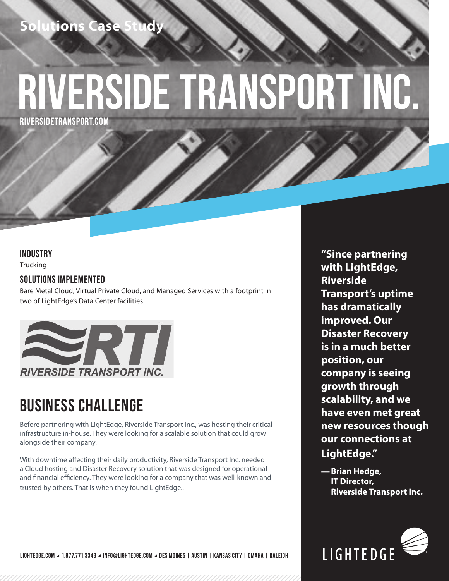## **Hions Ca**

# **Riverside transport inc.**

**RIVERSIDETRANSPORT.COM**

#### **INDUSTRY**

**Trucking** 

### **SOLUTIONS IMPLEMENTED**

Bare Metal Cloud, Virtual Private Cloud, and Managed Services with a footprint in two of LightEdge's Data Center facilities



## **BUSINESS CHALLENGE**

Before partnering with LightEdge, Riverside Transport Inc., was hosting their critical infrastructure in-house. They were looking for a scalable solution that could grow alongside their company.

With downtime affecting their daily productivity, Riverside Transport Inc. needed a Cloud hosting and Disaster Recovery solution that was designed for operational and financial efficiency. They were looking for a company that was well-known and trusted by others. That is when they found LightEdge..

**"Since partnering with LightEdge, Riverside Transport's uptime has dramatically improved. Our Disaster Recovery is in a much better position, our company is seeing growth through scalability, and we have even met great new resources though our connections at LightEdge."**

**—Brian Hedge, IT Director, Riverside Transport Inc.**